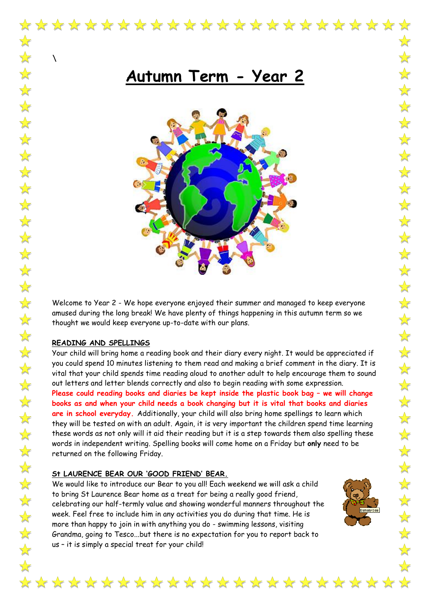$\lambda$ 

# **Autumn Term - Year 2**



Welcome to Year 2 - We hope everyone enjoyed their summer and managed to keep everyone amused during the long break! We have plenty of things happening in this autumn term so we thought we would keep everyone up-to-date with our plans.

#### **READING AND SPELLINGS**

Your child will bring home a reading book and their diary every night. It would be appreciated if you could spend 10 minutes listening to them read and making a brief comment in the diary. It is vital that your child spends time reading aloud to another adult to help encourage them to sound out letters and letter blends correctly and also to begin reading with some expression. **Please could reading books and diaries be kept inside the plastic book bag – we will change books as and when your child needs a book changing but it is vital that books and diaries are in school everyday.** Additionally, your child will also bring home spellings to learn which they will be tested on with an adult. Again, it is very important the children spend time learning these words as not only will it aid their reading but it is a step towards them also spelling these words in independent writing. Spelling books will come home on a Friday but **only** need to be returned on the following Friday.

#### **St LAURENCE BEAR OUR 'GOOD FRIEND' BEAR.**

We would like to introduce our Bear to you all! Each weekend we will ask a child to bring St Laurence Bear home as a treat for being a really good friend, celebrating our half-termly value and showing wonderful manners throughout the week. Feel free to include him in any activities you do during that time. He is more than happy to join in with anything you do - swimming lessons, visiting Grandma, going to Tesco...but there is no expectation for you to report back to us – it is simply a special treat for your child!